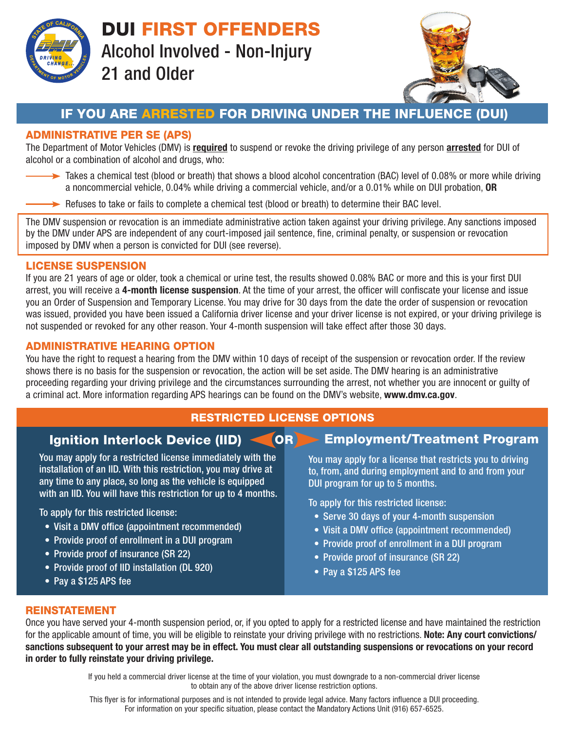

DUI FIRST OFFENDERS Alcohol Involved - Non-Injury 21 and Older



# IF YOU ARE ARRESTED FOR DRIVING UNDER THE INFLUENCE (DUI)

## ADMINISTRATIVE PER SE (APS)

The Department of Motor Vehicles (DMV) is required to suspend or revoke the driving privilege of any person arrested for DUI of alcohol or a combination of alcohol and drugs, who:

- Takes a chemical test (blood or breath) that shows a blood alcohol concentration (BAC) level of 0.08% or more while driving a noncommercial vehicle, 0.04% while driving a commercial vehicle, and/or a 0.01% while on DUI probation, OR
- $\rightarrow$  Refuses to take or fails to complete a chemical test (blood or breath) to determine their BAC level.

The DMV suspension or revocation is an immediate administrative action taken against your driving privilege. Any sanctions imposed by the DMV under APS are independent of any court-imposed jail sentence, fine, criminal penalty, or suspension or revocation imposed by DMV when a person is convicted for DUI (see reverse).

### LICENSE SUSPENSION

If you are 21 years of age or older, took a chemical or urine test, the results showed 0.08% BAC or more and this is your first DUI arrest, you will receive a 4-month license suspension. At the time of your arrest, the officer will confiscate your license and issue you an Order of Suspension and Temporary License. You may drive for 30 days from the date the order of suspension or revocation was issued, provided you have been issued a California driver license and your driver license is not expired, or your driving privilege is not suspended or revoked for any other reason. Your 4-month suspension will take effect after those 30 days.

### ADMINISTRATIVE HEARING OPTION

You have the right to request a hearing from the DMV within 10 days of receipt of the suspension or revocation order. If the review shows there is no basis for the suspension or revocation, the action will be set aside. The DMV hearing is an administrative proceeding regarding your driving privilege and the circumstances surrounding the arrest, not whether you are innocent or guilty of a criminal act. More information regarding APS hearings can be found on the DMV's website, www.dmv.ca.gov.

## RESTRICTED LICENSE OPTIONS

| <b>Ignition Interlock Device (IID) &lt;</b> | <b>OR Employment/Treatment Program</b> |  |
|---------------------------------------------|----------------------------------------|--|

You may apply for a restricted license immediately with the installation of an IID. With this restriction, you may drive at any time to any place, so long as the vehicle is equipped with an IID. You will have this restriction for up to 4 months.

To apply for this restricted license:

- Visit a DMV office (appointment recommended)
- Provide proof of enrollment in a DUI program
- Provide proof of insurance (SR 22)
- Provide proof of IID installation (DL 920)
- Pay a \$125 APS fee

You may apply for a license that restricts you to driving to, from, and during employment and to and from your DUI program for up to 5 months.

To apply for this restricted license:

- Serve 30 days of your 4-month suspension
- Visit a DMV office (appointment recommended)
- Provide proof of enrollment in a DUI program
- Provide proof of insurance (SR 22)
- Pay a \$125 APS fee

#### REINSTATEMENT

Once you have served your 4-month suspension period, or, if you opted to apply for a restricted license and have maintained the restriction for the applicable amount of time, you will be eligible to reinstate your driving privilege with no restrictions. Note: Any court convictions/ sanctions subsequent to your arrest may be in effect. You must clear all outstanding suspensions or revocations on your record in order to fully reinstate your driving privilege.

> If you held a commercial driver license at the time of your violation, you must downgrade to a non-commercial driver license to obtain any of the above driver license restriction options.

> This flyer is for informational purposes and is not intended to provide legal advice. Many factors influence a DUI proceeding. For information on your specific situation, please contact the Mandatory Actions Unit (916) 657-6525.